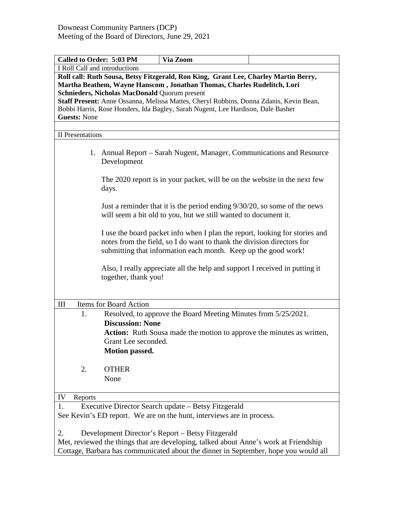| Called to Order: 5:03 PM                                                                                                                                                                                                                                                                                                                                                                                                   | Via Zoom                                                                                                                                                                                                                |  |  |
|----------------------------------------------------------------------------------------------------------------------------------------------------------------------------------------------------------------------------------------------------------------------------------------------------------------------------------------------------------------------------------------------------------------------------|-------------------------------------------------------------------------------------------------------------------------------------------------------------------------------------------------------------------------|--|--|
| I Roll Call and introductions                                                                                                                                                                                                                                                                                                                                                                                              |                                                                                                                                                                                                                         |  |  |
| Roll call: Ruth Sousa, Betsy Fitzgerald, Ron King, Grant Lee, Charley Martin Berry,<br>Martha Beathem, Wayne Hanscom, Jonathan Thomas, Charles Rudelitch, Lori<br><b>Schnieders, Nicholas MacDonald Quorum present</b><br>Staff Present: Anne Ossanna, Melissa Mattes, Cheryl Robbins, Donna Zdanis, Kevin Bean,<br>Bobbi Harris, Rose Honders, Ida Bagley, Sarah Nugent, Lee Hardison, Dale Basher<br><b>Guests: None</b> |                                                                                                                                                                                                                         |  |  |
| <b>II</b> Presentations                                                                                                                                                                                                                                                                                                                                                                                                    |                                                                                                                                                                                                                         |  |  |
| Development                                                                                                                                                                                                                                                                                                                                                                                                                | 1. Annual Report – Sarah Nugent, Manager, Communications and Resource                                                                                                                                                   |  |  |
| days.                                                                                                                                                                                                                                                                                                                                                                                                                      | The 2020 report is in your packet, will be on the website in the next few                                                                                                                                               |  |  |
|                                                                                                                                                                                                                                                                                                                                                                                                                            | Just a reminder that it is the period ending 9/30/20, so some of the news<br>will seem a bit old to you, but we still wanted to document it.                                                                            |  |  |
|                                                                                                                                                                                                                                                                                                                                                                                                                            | I use the board packet info when I plan the report, looking for stories and<br>notes from the field, so I do want to thank the division directors for<br>submitting that information each month. Keep up the good work! |  |  |
| together, thank you!                                                                                                                                                                                                                                                                                                                                                                                                       | Also, I really appreciate all the help and support I received in putting it                                                                                                                                             |  |  |
| Items for Board Action<br>Ш                                                                                                                                                                                                                                                                                                                                                                                                |                                                                                                                                                                                                                         |  |  |
| 1.<br><b>Discussion: None</b><br>Grant Lee seconded.<br><b>Motion passed.</b>                                                                                                                                                                                                                                                                                                                                              | Resolved, to approve the Board Meeting Minutes from 5/25/2021.<br><b>Action:</b> Ruth Sousa made the motion to approve the minutes as written,                                                                          |  |  |
| 2.<br><b>OTHER</b><br>None                                                                                                                                                                                                                                                                                                                                                                                                 |                                                                                                                                                                                                                         |  |  |
| IV<br>Reports                                                                                                                                                                                                                                                                                                                                                                                                              |                                                                                                                                                                                                                         |  |  |
| Executive Director Search update – Betsy Fitzgerald<br>1.<br>See Kevin's ED report. We are on the hunt, interviews are in process.                                                                                                                                                                                                                                                                                         |                                                                                                                                                                                                                         |  |  |
| Development Director's Report – Betsy Fitzgerald<br>2.<br>Met, reviewed the things that are developing, talked about Anne's work at Friendship<br>Cottage, Barbara has communicated about the dinner in September, hope you would all                                                                                                                                                                                      |                                                                                                                                                                                                                         |  |  |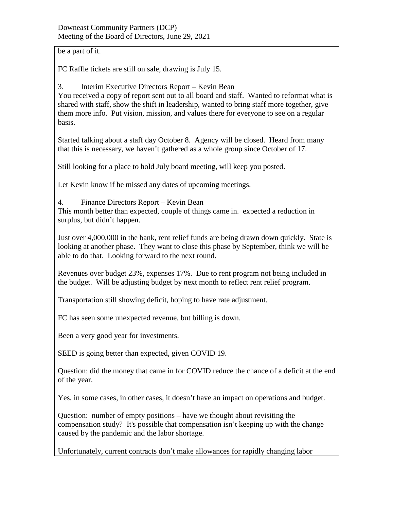be a part of it.

FC Raffle tickets are still on sale, drawing is July 15.

3. Interim Executive Directors Report – Kevin Bean You received a copy of report sent out to all board and staff. Wanted to reformat what is shared with staff, show the shift in leadership, wanted to bring staff more together, give them more info. Put vision, mission, and values there for everyone to see on a regular basis.

Started talking about a staff day October 8. Agency will be closed. Heard from many that this is necessary, we haven't gathered as a whole group since October of 17.

Still looking for a place to hold July board meeting, will keep you posted.

Let Kevin know if he missed any dates of upcoming meetings.

4. Finance Directors Report – Kevin Bean

This month better than expected, couple of things came in. expected a reduction in surplus, but didn't happen.

Just over 4,000,000 in the bank, rent relief funds are being drawn down quickly. State is looking at another phase. They want to close this phase by September, think we will be able to do that. Looking forward to the next round.

Revenues over budget 23%, expenses 17%. Due to rent program not being included in the budget. Will be adjusting budget by next month to reflect rent relief program.

Transportation still showing deficit, hoping to have rate adjustment.

FC has seen some unexpected revenue, but billing is down.

Been a very good year for investments.

SEED is going better than expected, given COVID 19.

Question: did the money that came in for COVID reduce the chance of a deficit at the end of the year.

Yes, in some cases, in other cases, it doesn't have an impact on operations and budget.

Question: number of empty positions – have we thought about revisiting the compensation study? It's possible that compensation isn't keeping up with the change caused by the pandemic and the labor shortage.

Unfortunately, current contracts don't make allowances for rapidly changing labor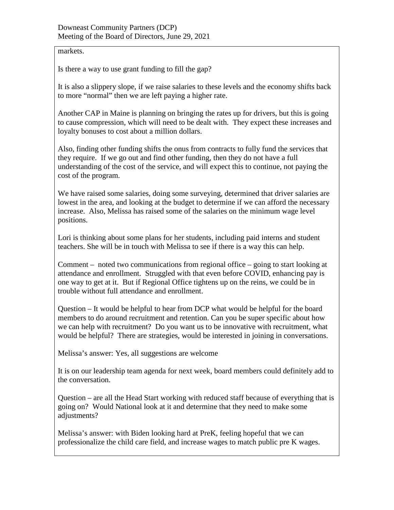markets.

Is there a way to use grant funding to fill the gap?

It is also a slippery slope, if we raise salaries to these levels and the economy shifts back to more "normal" then we are left paying a higher rate.

Another CAP in Maine is planning on bringing the rates up for drivers, but this is going to cause compression, which will need to be dealt with. They expect these increases and loyalty bonuses to cost about a million dollars.

Also, finding other funding shifts the onus from contracts to fully fund the services that they require. If we go out and find other funding, then they do not have a full understanding of the cost of the service, and will expect this to continue, not paying the cost of the program.

We have raised some salaries, doing some surveying, determined that driver salaries are lowest in the area, and looking at the budget to determine if we can afford the necessary increase. Also, Melissa has raised some of the salaries on the minimum wage level positions.

Lori is thinking about some plans for her students, including paid interns and student teachers. She will be in touch with Melissa to see if there is a way this can help.

Comment – noted two communications from regional office – going to start looking at attendance and enrollment. Struggled with that even before COVID, enhancing pay is one way to get at it. But if Regional Office tightens up on the reins, we could be in trouble without full attendance and enrollment.

Question – It would be helpful to hear from DCP what would be helpful for the board members to do around recruitment and retention. Can you be super specific about how we can help with recruitment? Do you want us to be innovative with recruitment, what would be helpful? There are strategies, would be interested in joining in conversations.

Melissa's answer: Yes, all suggestions are welcome

It is on our leadership team agenda for next week, board members could definitely add to the conversation.

Question – are all the Head Start working with reduced staff because of everything that is going on? Would National look at it and determine that they need to make some adjustments?

Melissa's answer: with Biden looking hard at PreK, feeling hopeful that we can professionalize the child care field, and increase wages to match public pre K wages.